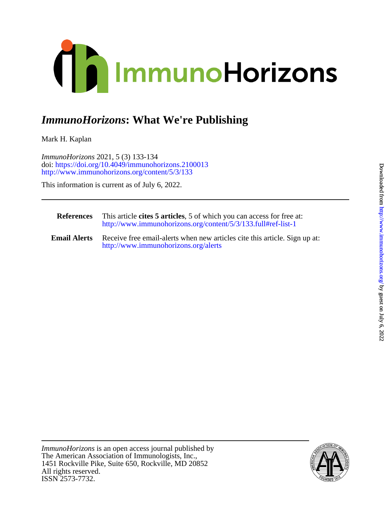

## *ImmunoHorizons***: What We're Publishing**

Mark H. Kaplan

<http://www.immunohorizons.org/content/5/3/133> doi:<https://doi.org/10.4049/immunohorizons.2100013> *ImmunoHorizons* 2021, 5 (3) 133-134

This information is current as of July 6, 2022.

| References          | This article <b>cites 5 articles</b> , 5 of which you can access for free at:<br>http://www.immunohorizons.org/content/5/3/133.full#ref-list-1 |
|---------------------|------------------------------------------------------------------------------------------------------------------------------------------------|
| <b>Email Alerts</b> | Receive free email-alerts when new articles cite this article. Sign up at:<br>http://www.immunohorizons.org/alerts                             |

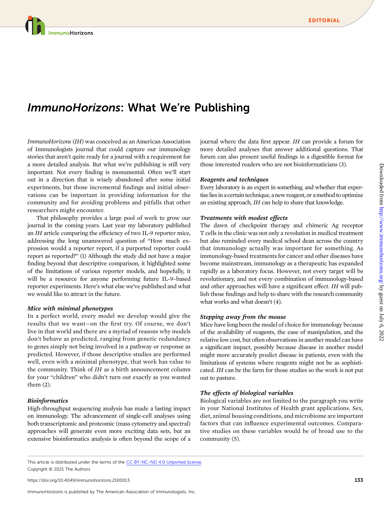mmunoHorizons

# ImmunoHorizons: What We're Publishing

ImmunoHorizons(IH) was conceived as an American Association of Immunologists journal that could capture our immunology stories that aren't quite ready for a journal with a requirement for a more detailed analysis. But what we're publishing is still very important. Not every finding is monumental. Often we'll start out in a direction that is wisely abandoned after some initial experiments, but those incremental findings and initial observations can be important in providing information for the community and for avoiding problems and pitfalls that other researchers might encounter.

That philosophy provides a large pool of work to grow our journal in the coming years. Last year my laboratory published an IH article comparing the efficiency of two IL-9 reporter mice, addressing the long unanswered question of "How much expression would a reporter report, if a purported reporter could report as reported?" (1) Although the study did not have a major finding beyond that descriptive comparison, it highlighted some of the limitations of various reporter models, and hopefully, it will be a resource for anyone performing future IL-9–based reporter experiments. Here's what else we've published and what we would like to attract in the future.

#### Mice with minimal phenotypes

In a perfect world, every model we develop would give the results that we want—on the first try. Of course, we don't live in that world and there are a myriad of reasons why models don't behave as predicted, ranging from genetic redundancy to genes simply not being involved in a pathway or response as predicted. However, if those descriptive studies are performed well, even with a minimal phenotype, that work has value to the community. Think of IH as a birth announcement column for your "children" who didn't turn out exactly as you wanted them (2).

#### Bioinformatics

High-throughput sequencing analysis has made a lasting impact on immunology. The advancement of single-cell analyses using both transcriptomic and proteomic (mass cytometry and spectral) approaches will generate even more exciting data sets, but an extensive bioinformatics analysis is often beyond the scope of a

journal where the data first appear. IH can provide a forum for more detailed analyses that answer additional questions. That forum can also present useful findings in a digestible format for those interested readers who are not bioinformaticians (3).

#### Reagents and techniques

Every laboratory is an expert in something, and whether that expertise lies in a certain technique, a new reagent, or a method to optimize an existing approach, IH can help to share that knowledge.

#### Treatments with modest effects

The dawn of checkpoint therapy and chimeric Ag receptor T cells in the clinic was not only a revolution in medical treatment but also reminded every medical school dean across the country that immunology actually was important for something. As immunology-based treatments for cancer and other diseases have become mainstream, immunology as a therapeutic has expanded rapidly as a laboratory focus. However, not every target will be revolutionary, and not every combination of immunology-based and other approaches will have a significant effect. IH will publish those findings and help to share with the research community what works and what doesn't (4).

#### Stepping away from the mouse

Mice have long been the model of choice for immunology because of the availability of reagents, the ease of manipulation, and the relative low cost, but often observations in another model can have a significant impact, possibly because disease in another model might more accurately predict disease in patients, even with the limitations of systems where reagents might not be as sophisticated. IH can be the farm for those studies so the work is not put out to pasture.

### The effects of biological variables

Biological variables are not limited to the paragraph you write in your National Institutes of Health grant applications. Sex, diet, animal housing conditions, and microbiome are important factors that can influence experimental outcomes. Comparative studies on these variables would be of broad use to the community (5).

This article is distributed under the terms of the [CC BY-NC-ND 4.0 Unported license](https://creativecommons.org/licenses/by-nc-nd/4.0/). Copyright © 2021 The Authors